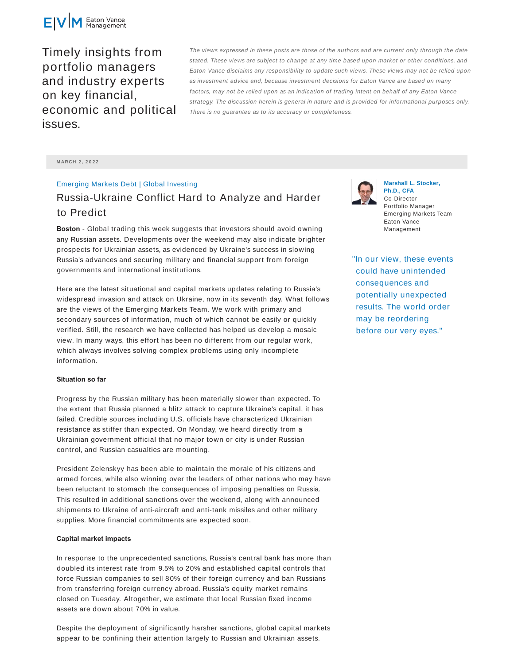

Timely insights from portfolio managers and industry experts on key financial, economic and political issues.

The views expressed in these posts are those of the authors and are current only through the date stated. These views are subject to change at any time based upon market or other conditions, and Eaton Vance disclaims any responsibility to update such views. These views may not be relied upon as investment advice and, because investment decisions for Eaton Vance are based on many factors, may not be relied upon as an indication of trading intent on behalf of any Eaton Vance strategy. The discussion herein is general in nature and is provided for informational purposes only. There is no guarantee as to its accuracy or completeness.

**M ARCH 2 , 2 0 2 2**

# Emerging Markets Debt | Global Investing

# Russia-Ukraine Conflict Hard to Analyze and Harder to Predict

**Boston** - Global trading this week suggests that investors should avoid owning any Russian assets. Developments over the weekend may also indicate brighter prospects for Ukrainian assets, as evidenced by Ukraine's success in slowing Russia's advances and securing military and financial support from foreign governments and international institutions.

Here are the latest situational and capital markets updates relating to Russia's widespread invasion and attack on Ukraine, now in its seventh day. What follows are the views of the Emerging Markets Team. We work with primary and secondary sources of information, much of which cannot be easily or quickly verified. Still, the research we have collected has helped us develop a mosaic view. In many ways, this effort has been no different from our regular work, which always involves solving complex problems using only incomplete information.

## **Situation so far**

Progress by the Russian military has been materially slower than expected. To the extent that Russia planned a blitz attack to capture Ukraine's capital, it has failed. Credible sources including U.S. officials have characterized Ukrainian resistance as stiffer than expected. On Monday, we heard directly from a Ukrainian government official that no major town or city is under Russian control, and Russian casualties are mounting.

President Zelenskyy has been able to maintain the morale of his citizens and armed forces, while also winning over the leaders of other nations who may have been reluctant to stomach the consequences of imposing penalties on Russia. This resulted in additional sanctions over the weekend, along with announced shipments to Ukraine of anti-aircraft and anti-tank missiles and other military supplies. More financial commitments are expected soon.

#### **Capital market impacts**

In response to the unprecedented sanctions, Russia's central bank has more than doubled its interest rate from 9.5% to 20% and established capital controls that force Russian companies to sell 80% of their foreign currency and ban Russians from transferring foreign currency abroad. Russia's equity market remains closed on Tuesday. Altogether, we estimate that local Russian fixed income assets are down about 70% in value.

Despite the deployment of significantly harsher sanctions, global capital markets appear to be confining their attention largely to Russian and Ukrainian assets.



**Marshall L. Stocker, Ph.D., CFA** Co-Director Portfolio Manager Emerging Markets Team Eaton Vance Management

"In our view, these events could have unintended consequences and potentially unexpected results. The world order may be reordering before our very eyes."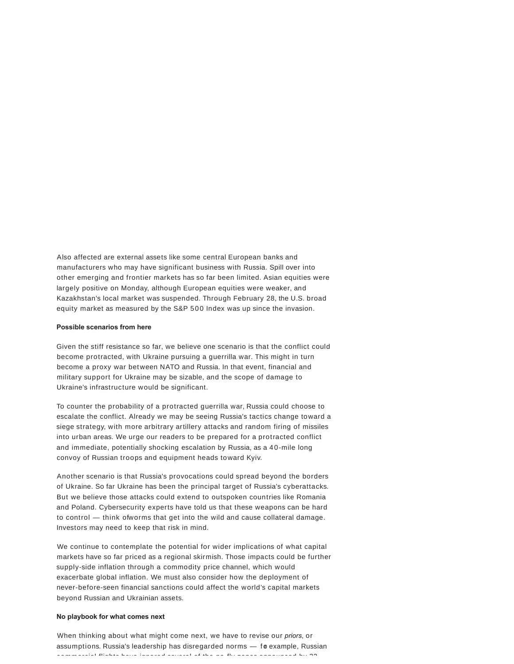Also affected are external assets like some central European banks and manufacturers who may have significant business with Russia. Spill over into other emerging and frontier markets has so far been limited. Asian equities were largely positive on Monday, although European equities were weaker, and Kazakhstan's local market was suspended. Through February 28, the U.S. broad equity market as measured by the S&P 500 Index was up since the invasion.

## **Possible scenarios from here**

Given the stiff resistance so far, we believe one scenario is that the conflict could become protracted, with Ukraine pursuing a guerrilla war. This might in turn become a proxy war between NATO and Russia. In that event, financial and military support for Ukraine may be sizable, and the scope of damage to Ukraine's infrastructure would be significant.

To counter the probability of a protracted guerrilla war, Russia could choose to escalate the conflict. Already we may be seeing Russia's tactics change toward a siege strategy, with more arbitrary artillery attacks and random firing of missiles into urban areas. We urge our readers to be prepared for a protracted conflict and immediate, potentially shocking escalation by Russia, as a 40-mile long convoy of Russian troops and equipment heads toward Kyiv.

Another scenario is that Russia's provocations could spread beyond the borders of Ukraine. So far Ukraine has been the principal target of Russia's cyberattacks. But we believe those attacks could extend to outspoken countries like Romania and Poland. Cybersecurity experts have told us that these weapons can be hard to control  $-$  think of worms that get into the wild and cause collateral damage. Investors may need to keep that risk in mind.

We continue to contemplate the potential for wider implications of what capital markets have so far priced as a regional skirmish. Those impacts could be further supply-side inflation through a commodity price channel, which would exacerbate global inflation. We must also consider how the deployment of never-before-seen financial sanctions could affect the world's capital markets beyond Russian and Ukrainian assets.

#### **No playbook for what comes next**

When thinking about what might come next, we have to revise our *priors*, or assumptions. Russia's leadership has disregarded norms - for example, Russian commercial flights have ignored several of the no-fly  $\ell$  the no-fly zones and several of the  $\alpha\alpha$